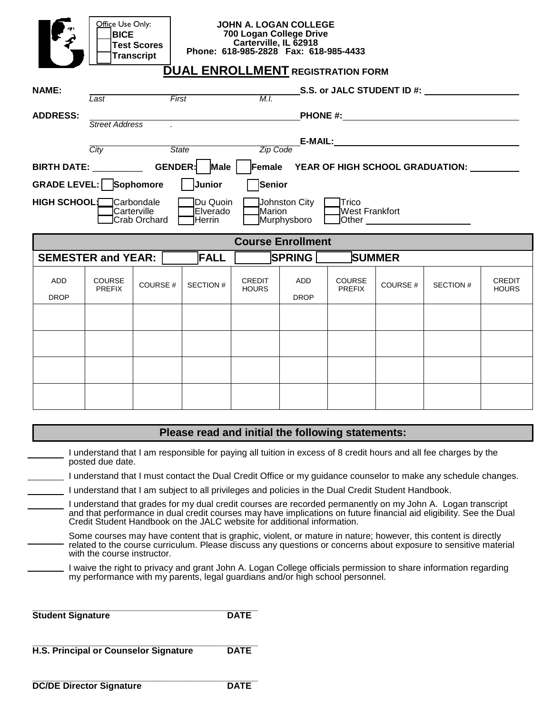| Office Use Only:<br><b>JOHN A. LOGAN COLLEGE</b><br>700 Logan College Drive<br><b>BICE</b><br>Carterville, IL 62918<br><b>Test Scores</b><br>Phone: 618-985-2828 Fax: 618-985-4433<br><b>Transcript</b><br><b>DUAL ENROLLMENT REGISTRATION FORM</b> |                                                     |                |                 |                               |                           |                                |                |           |                               |  |
|-----------------------------------------------------------------------------------------------------------------------------------------------------------------------------------------------------------------------------------------------------|-----------------------------------------------------|----------------|-----------------|-------------------------------|---------------------------|--------------------------------|----------------|-----------|-------------------------------|--|
| <b>NAME:</b>                                                                                                                                                                                                                                        | S.S. or JALC STUDENT ID #:<br>M.I.<br>First<br>Last |                |                 |                               |                           |                                |                |           |                               |  |
| <b>ADDRESS:</b>                                                                                                                                                                                                                                     | <b>Street Address</b>                               |                |                 |                               |                           |                                |                |           |                               |  |
|                                                                                                                                                                                                                                                     | Zip Code<br>State<br>City                           |                |                 |                               |                           |                                |                |           |                               |  |
| BIRTH DATE: GENDER:<br>Male<br>Female YEAR OF HIGH SCHOOL GRADUATION: ________                                                                                                                                                                      |                                                     |                |                 |                               |                           |                                |                |           |                               |  |
| Senior<br><b>GRADE LEVEL: Sophomore</b><br>Junior                                                                                                                                                                                                   |                                                     |                |                 |                               |                           |                                |                |           |                               |  |
| <b>HIGH SCHOOL:</b> Carbondale<br>Johnston City [<br>Du Quoin<br>1Trico<br><b>West Frankfort</b><br>Carterville<br>Marion<br>Elverado<br>Crab Orchard<br>Murphysboro<br>Herrin<br>Other _______________________                                     |                                                     |                |                 |                               |                           |                                |                |           |                               |  |
|                                                                                                                                                                                                                                                     |                                                     |                |                 |                               | <b>Course Enrollment</b>  |                                |                |           |                               |  |
| <b>SEMESTER and YEAR:</b>                                                                                                                                                                                                                           |                                                     |                | <b>FALL</b>     |                               | <b>SPRING</b> [           |                                | <b>SUMMER</b>  |           |                               |  |
| <b>ADD</b><br><b>DROP</b>                                                                                                                                                                                                                           | <b>COURSE</b><br><b>PREFIX</b>                      | <b>COURSE#</b> | <b>SECTION#</b> | <b>CREDIT</b><br><b>HOURS</b> | <b>ADD</b><br><b>DROP</b> | <b>COURSE</b><br><b>PREFIX</b> | <b>COURSE#</b> | SECTION # | <b>CREDIT</b><br><b>HOURS</b> |  |
|                                                                                                                                                                                                                                                     |                                                     |                |                 |                               |                           |                                |                |           |                               |  |
|                                                                                                                                                                                                                                                     |                                                     |                |                 |                               |                           |                                |                |           |                               |  |
|                                                                                                                                                                                                                                                     |                                                     |                |                 |                               |                           |                                |                |           |                               |  |
|                                                                                                                                                                                                                                                     |                                                     |                |                 |                               |                           |                                |                |           |                               |  |

I understand that I am responsible for paying all tuition in excess of 8 credit hours and all fee charges by the posted due date.

I understand that I must contact the Dual Credit Office or my guidance counselor to make any schedule changes.

- I understand that I am subject to all privileges and policies in the Dual Credit Student Handbook.
- I understand that grades for my dual credit courses are recorded permanently on my John A. Logan transcript and that performance in dual credit courses may have implications on future financial aid eligibility. See the Dual Credit Student Handbook on the JALC website for additional information.
- Some courses may have content that is graphic, violent, or mature in nature; however, this content is directly related to the course curriculum. Please discuss any questions or concerns about exposure to sensitive material with the course instructor.
- I waive the right to privacy and grant John A. Logan College officials permission to share information regarding my performance with my parents, legal guardians and/or high school personnel.

| <b>Student Signature</b> | <b>DATE</b> |
|--------------------------|-------------|

| H.S. Principal or Counselor Signature | <b>DATE</b> |
|---------------------------------------|-------------|